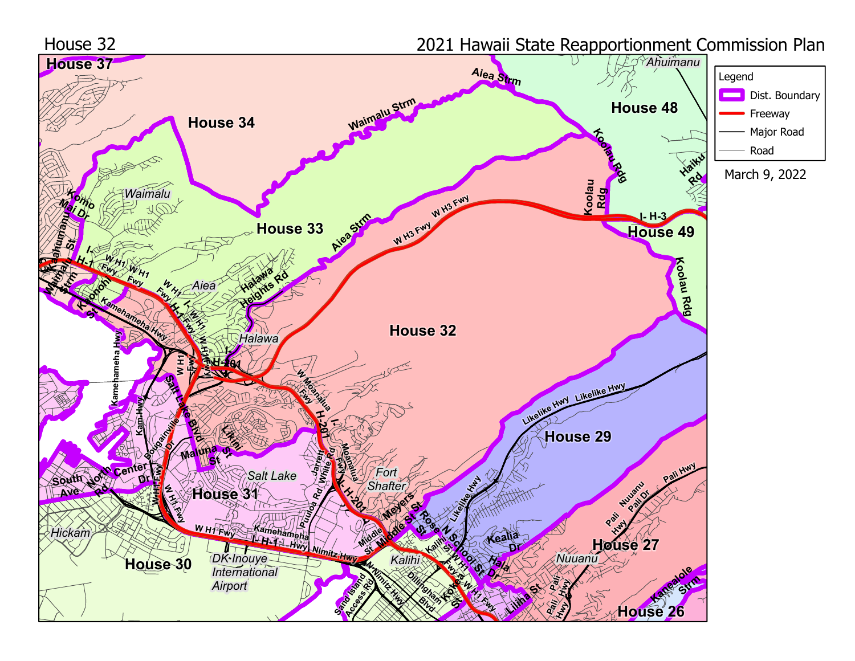